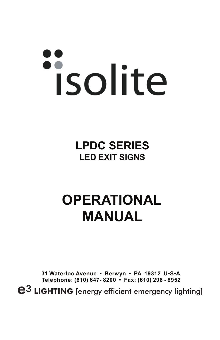# isolite

**LPDC SERIES LED EXIT SIGNS**

# **OPERATIONAL MANUAL**

**31 Waterloo Avenue • Berwyn • PA 19312 U•S•A Telephone: (610) 647- 8200 • Fax: (610) 296 - 8952** $\mathbf{e}^3$  LIGHTING [energy efficient emergency lighting]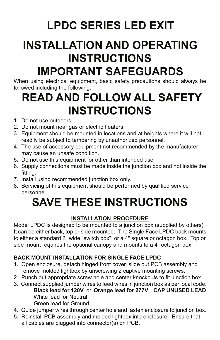# **LPDC SERIES LED EXIT**

# **INSTALLATION AND OPERATING INSTRUCTIONS**

## **IMPORTANT SAFEGUARDS**

When using electrical equipment, basic safety precautions should always be followed including the following:

### **READ AND FOLLOW ALL SAFETY INSTRUCTIONS**

- 1. Do not use outdoors.
- 2. Do not mount near gas or electric heaters.
- 3. Equipment should be mounted in locations and at heights where it will not readily be subject to tampering by unauthorized personnel.
- 4. The use of accessory equipment not recommended by the manufacturer may cause an unsafe condition.
- 5. Do not use this equipment for other than intended use.
- 6. Supply connections must be made inside the junction box and not inside the fitting.
- 7. Install using recommended junction box only.
- 8. Servicing of this equipment should be performed by qualified service personnel.

## **SAVE THESE INSTRUCTIONS**

#### **INSTALLATION PROCEDURE**

Model LPDC is designed to be mounted to a junction box (supplied by others). It can be either back, top or side mounted. The Single Face LPDC back mounts to either a standard 2" wide "switch box", or a 4" square or octagon box. Top or side mount requires the optional canopy and mounts to a 4" octagon box.

#### **BACK MOUNT INSTALLATION FOR SINGLE FACE LPDC**

- 1. Open enclosure, detach hinged front cover, slide out PCB assembly and remove molded lightbox by unscrewing 2 captive mounting screws.
- 2. Punch out appropriate screw hole and center knockouts to fit junction box.
- 3. Connect supplied jumper wires to feed wires in junction box as per local code. **Black lead for 120V** or **Orange lead for 277V CAP UNUSED LEAD** White lead for Neutral Green lead for Ground
- 4. Guide jumper wires through center hole and fasten enclosure to junction box.
- 5. Reinstall PCB assembly and molded lightbox into enclosure. Ensure that all cables are plugged into connector(s) on PCB.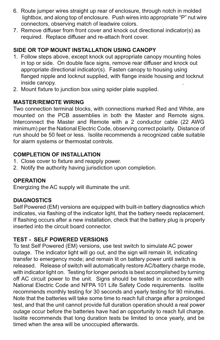- 6. Route jumper wires straight up rear of enclosure, through notch in molded lightbox, and along top of enclosure. Push wires into appropriate "P" nut wire connectors, observing match of leadwire colors.
- 7. Remove diffuser from front cover and knock out directional indicator(s) as required. Replace diffuser and re-attach front cover.

#### **SIDE OR TOP MOUNT INSTALLATION USING CANOPY**

- 1. Follow steps above, except knock out appropriate canopy mounting holes in top or side. On double face signs, remove rear diffuser and knock out appropriate directional indicator(s). Fasten canopy to housing using flanged nipple and locknut supplied, with flange inside housing and locknut inside canopy. .
- 2. Mount fixture to junction box using spider plate supplied.

#### **MASTER/REMOTE WIRING**

Two connection terminal blocks, with connections marked Red and White, are mounted on the PCB assemblies in both the Master and Remote signs. Interconnect the Master and Remote with a 2 conductor cable (22 AWG minimum) per the National Electric Code, observing correct polarity. Distance of run should be 50 feet or less. Isolite recommends a recognized cable suitable for alarm systems or thermostat controls.

#### **COMPLETION OF INSTALLATION**

- 1. Close cover to fixture and reapply power.
- 2. Notify the authority having jurisdiction upon completion.

#### **OPERATION**

Energizing the AC supply will illuminate the unit.

#### **DIAGNOSTICS**

Self Powered (EM) versions are equipped with built-in battery diagnostics which indicates, via flashing of the indicator light, that the battery needs replacement. If flashing occurs after a new installation, check that the battery plug is properly inserted into the circuit board connector.

#### **TEST - SELF POWERED VERSIONS**

To test Self Powered (EM) versions, use test switch to simulate AC power outage. The indicator light will go out, and the sign will remain lit, indicating transfer to emergency mode; and remain lit on battery power until switch is released. Release of switch will automatically restore AC/battery charge mode, with indicator light on. Testing for longer periods is best accomplished by turning off AC circuit power to the unit. Signs should be tested in accordance with National Electric Code and NFPA 101 Life Safety Code requirements. Isolite recommends monthly testing for 30 seconds and yearly testing for 90 minutes. Note that the batteries will take some time to reach full charge after a prolonged test, and that the unit cannot provide full duration operation should a real power outage occur before the batteries have had an opportunity to reach full charge. Isolite recommends that long duration tests be limited to once yearly, and be timed when the area will be unoccupied afterwards.